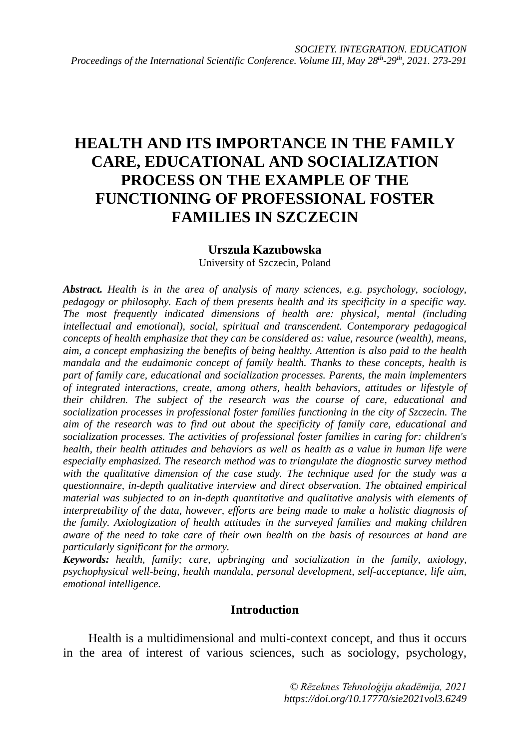# **HEALTH AND ITS IMPORTANCE IN THE FAMILY CARE, EDUCATIONAL AND SOCIALIZATION PROCESS ON THE EXAMPLE OF THE FUNCTIONING OF PROFESSIONAL FOSTER FAMILIES IN SZCZECIN**

### **Urszula Kazubowska**

University of Szczecin, Poland

*Abstract. Health is in the area of analysis of many sciences, e.g. psychology, sociology, pedagogy or philosophy. Each of them presents health and its specificity in a specific way. The most frequently indicated dimensions of health are: physical, mental (including intellectual and emotional), social, spiritual and transcendent. Contemporary pedagogical concepts of health emphasize that they can be considered as: value, resource (wealth), means, aim, a concept emphasizing the benefits of being healthy. Attention is also paid to the health mandala and the eudaimonic concept of family health. Thanks to these concepts, health is part of family care, educational and socialization processes. Parents, the main implementers of integrated interactions, create, among others, health behaviors, attitudes or lifestyle of their children. The subject of the research was the course of care, educational and socialization processes in professional foster families functioning in the city of Szczecin. The aim of the research was to find out about the specificity of family care, educational and socialization processes. The activities of professional foster families in caring for: children's health, their health attitudes and behaviors as well as health as a value in human life were especially emphasized. The research method was to triangulate the diagnostic survey method with the qualitative dimension of the case study. The technique used for the study was a questionnaire, in-depth qualitative interview and direct observation. The obtained empirical material was subjected to an in-depth quantitative and qualitative analysis with elements of interpretability of the data, however, efforts are being made to make a holistic diagnosis of the family. Axiologization of health attitudes in the surveyed families and making children aware of the need to take care of their own health on the basis of resources at hand are particularly significant for the armory.*

*Keywords: health, family; care, upbringing and socialization in the family, axiology, psychophysical well-being, health mandala, personal development, self-acceptance, life aim, emotional intelligence.*

### **Introduction**

Health is a multidimensional and multi-context concept, and thus it occurs in the area of interest of various sciences, such as sociology, psychology,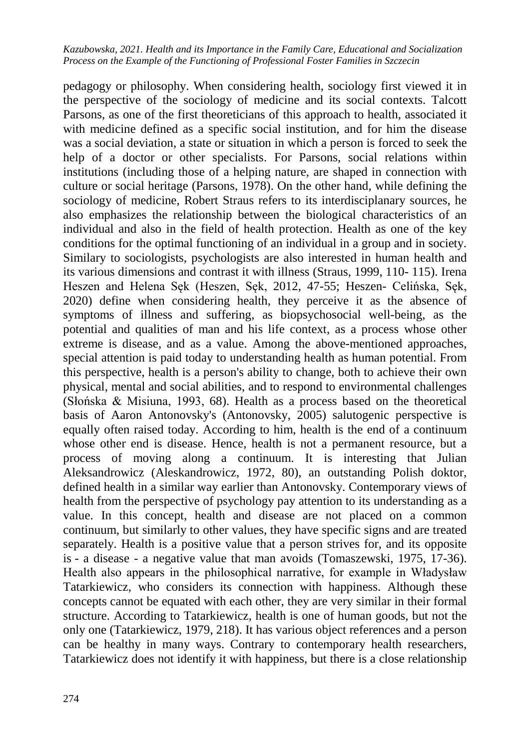pedagogy or philosophy. When considering health, sociology first viewed it in the perspective of the sociology of medicine and its social contexts. Talcott Parsons, as one of the first theoreticians of this approach to health, associated it with medicine defined as a specific social institution, and for him the disease was a social deviation, a state or situation in which a person is forced to seek the help of a doctor or other specialists. For Parsons, social relations within institutions (including those of a helping nature, are shaped in connection with culture or social heritage (Parsons, 1978). On the other hand, while defining the sociology of medicine, Robert Straus refers to its interdisciplanary sources, he also emphasizes the relationship between the biological characteristics of an individual and also in the field of health protection. Health as one of the key conditions for the optimal functioning of an individual in a group and in society. Similary to sociologists, psychologists are also interested in human health and its various dimensions and contrast it with illness (Straus, 1999, 110- 115). Irena Heszen and Helena Sęk (Heszen, Sęk, 2012, 47-55; Heszen- Celińska, Sęk, 2020) define when considering health, they perceive it as the absence of symptoms of illness and suffering, as biopsychosocial well-being, as the potential and qualities of man and his life context, as a process whose other extreme is disease, and as a value. Among the above-mentioned approaches, special attention is paid today to understanding health as human potential. From this perspective, health is a person's ability to change, both to achieve their own physical, mental and social abilities, and to respond to environmental challenges (Słońska & Misiuna, 1993, 68). Health as a process based on the theoretical basis of Aaron Antonovsky's (Antonovsky, 2005) salutogenic perspective is equally often raised today. According to him, health is the end of a continuum whose other end is disease. Hence, health is not a permanent resource, but a process of moving along a continuum. It is interesting that Julian Aleksandrowicz (Aleskandrowicz, 1972, 80), an outstanding Polish doktor, defined health in a similar way earlier than Antonovsky. Contemporary views of health from the perspective of psychology pay attention to its understanding as a value. In this concept, health and disease are not placed on a common continuum, but similarly to other values, they have specific signs and are treated separately. Health is a positive value that a person strives for, and its opposite is - a disease - a negative value that man avoids (Tomaszewski, 1975, 17-36). Health also appears in the philosophical narrative, for example in Władysław Tatarkiewicz, who considers its connection with happiness. Although these concepts cannot be equated with each other, they are very similar in their formal structure. According to Tatarkiewicz, health is one of human goods, but not the only one (Tatarkiewicz, 1979, 218). It has various object references and a person can be healthy in many ways. Contrary to contemporary health researchers, Tatarkiewicz does not identify it with happiness, but there is a close relationship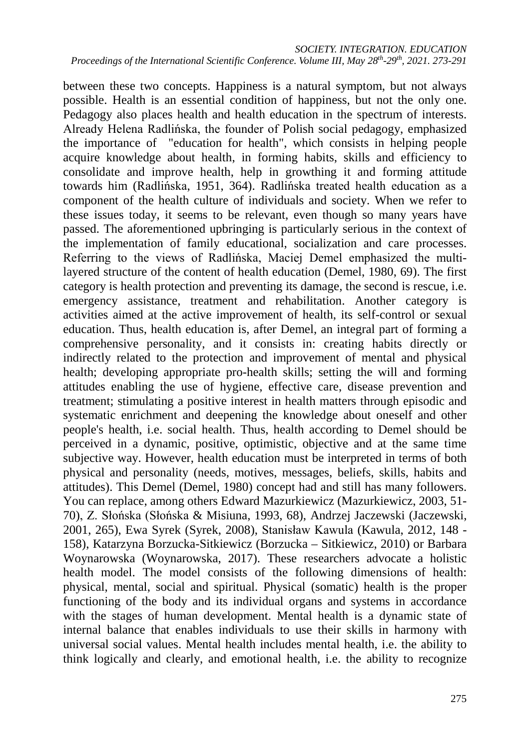between these two concepts. Happiness is a natural symptom, but not always possible. Health is an essential condition of happiness, but not the only one. Pedagogy also places health and health education in the spectrum of interests. Already Helena Radlińska, the founder of Polish social pedagogy, emphasized the importance of "education for health", which consists in helping people acquire knowledge about health, in forming habits, skills and efficiency to consolidate and improve health, help in growthing it and forming attitude towards him (Radlińska, 1951, 364). Radlińska treated health education as a component of the health culture of individuals and society. When we refer to these issues today, it seems to be relevant, even though so many years have passed. The aforementioned upbringing is particularly serious in the context of the implementation of family educational, socialization and care processes. Referring to the views of Radlińska, Maciej Demel emphasized the multilayered structure of the content of health education (Demel, 1980, 69). The first category is health protection and preventing its damage, the second is rescue, i.e. emergency assistance, treatment and rehabilitation. Another category is activities aimed at the active improvement of health, its self-control or sexual education. Thus, health education is, after Demel, an integral part of forming a comprehensive personality, and it consists in: creating habits directly or indirectly related to the protection and improvement of mental and physical health; developing appropriate pro-health skills; setting the will and forming attitudes enabling the use of hygiene, effective care, disease prevention and treatment; stimulating a positive interest in health matters through episodic and systematic enrichment and deepening the knowledge about oneself and other people's health, i.e. social health. Thus, health according to Demel should be perceived in a dynamic, positive, optimistic, objective and at the same time subjective way. However, health education must be interpreted in terms of both physical and personality (needs, motives, messages, beliefs, skills, habits and attitudes). This Demel (Demel, 1980) concept had and still has many followers. You can replace, among others Edward Mazurkiewicz (Mazurkiewicz, 2003, 51- 70), Z. Słońska (Słońska & Misiuna, 1993, 68), Andrzej Jaczewski (Jaczewski, 2001, 265), Ewa Syrek (Syrek, 2008), Stanisław Kawula (Kawula, 2012, 148 - 158), Katarzyna Borzucka-Sitkiewicz (Borzucka – Sitkiewicz, 2010) or Barbara Woynarowska (Woynarowska, 2017). These researchers advocate a holistic health model. The model consists of the following dimensions of health: physical, mental, social and spiritual. Physical (somatic) health is the proper functioning of the body and its individual organs and systems in accordance with the stages of human development. Mental health is a dynamic state of internal balance that enables individuals to use their skills in harmony with universal social values. Mental health includes mental health, i.e. the ability to think logically and clearly, and emotional health, i.e. the ability to recognize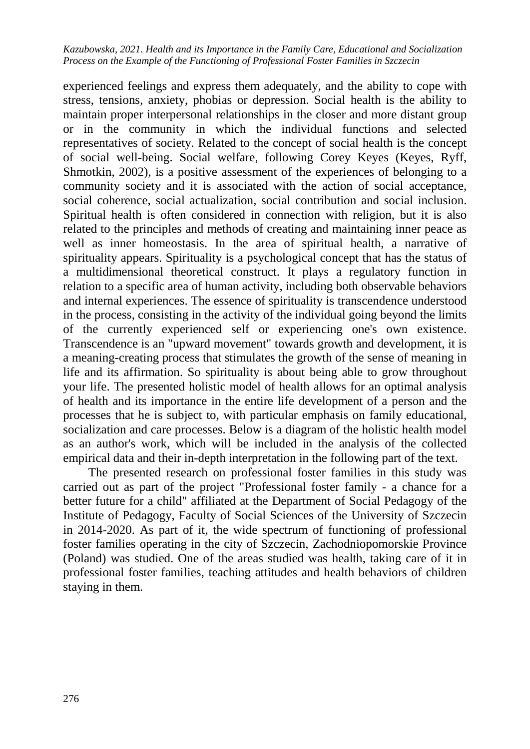experienced feelings and express them adequately, and the ability to cope with stress, tensions, anxiety, phobias or depression. Social health is the ability to maintain proper interpersonal relationships in the closer and more distant group or in the community in which the individual functions and selected representatives of society. Related to the concept of social health is the concept of social well-being. Social welfare, following Corey Keyes (Keyes, Ryff, Shmotkin, 2002), is a positive assessment of the experiences of belonging to a community society and it is associated with the action of social acceptance, social coherence, social actualization, social contribution and social inclusion. Spiritual health is often considered in connection with religion, but it is also related to the principles and methods of creating and maintaining inner peace as well as inner homeostasis. In the area of spiritual health, a narrative of spirituality appears. Spirituality is a psychological concept that has the status of a multidimensional theoretical construct. It plays a regulatory function in relation to a specific area of human activity, including both observable behaviors and internal experiences. The essence of spirituality is transcendence understood in the process, consisting in the activity of the individual going beyond the limits of the currently experienced self or experiencing one's own existence. Transcendence is an "upward movement" towards growth and development, it is a meaning-creating process that stimulates the growth of the sense of meaning in life and its affirmation. So spirituality is about being able to grow throughout your life. The presented holistic model of health allows for an optimal analysis of health and its importance in the entire life development of a person and the processes that he is subject to, with particular emphasis on family educational, socialization and care processes. Below is a diagram of the holistic health model as an author's work, which will be included in the analysis of the collected empirical data and their in-depth interpretation in the following part of the text.

The presented research on professional foster families in this study was carried out as part of the project "Professional foster family - a chance for a better future for a child" affiliated at the Department of Social Pedagogy of the Institute of Pedagogy, Faculty of Social Sciences of the University of Szczecin in 2014-2020. As part of it, the wide spectrum of functioning of professional foster families operating in the city of Szczecin, Zachodniopomorskie Province (Poland) was studied. One of the areas studied was health, taking care of it in professional foster families, teaching attitudes and health behaviors of children staying in them.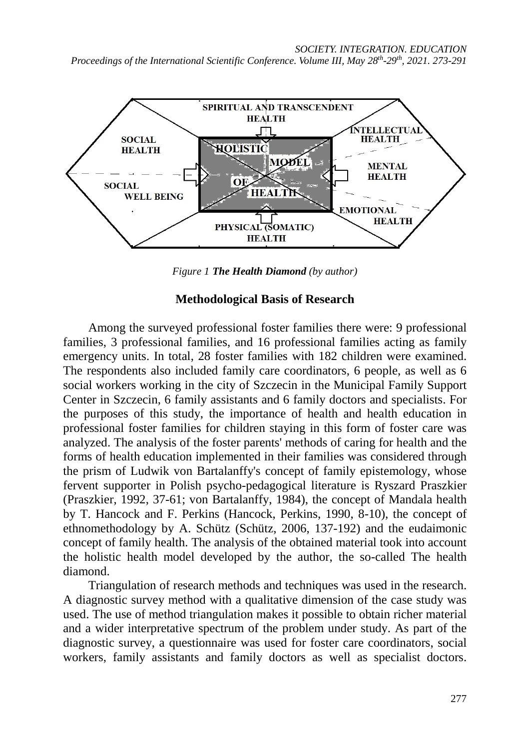#### *SOCIETY. INTEGRATION. EDUCATION*

*Proceedings of the International Scientific Conference. Volume III, May 28th-29th, 2021. 273-291*



*Figure 1 The Health Diamond (by author)*

### **Methodological Basis of Research**

Among the surveyed professional foster families there were: 9 professional families, 3 professional families, and 16 professional families acting as family emergency units. In total, 28 foster families with 182 children were examined. The respondents also included family care coordinators, 6 people, as well as 6 social workers working in the city of Szczecin in the Municipal Family Support Center in Szczecin, 6 family assistants and 6 family doctors and specialists. For the purposes of this study, the importance of health and health education in professional foster families for children staying in this form of foster care was analyzed. The analysis of the foster parents' methods of caring for health and the forms of health education implemented in their families was considered through the prism of Ludwik von Bartalanffy's concept of family epistemology, whose fervent supporter in Polish psycho-pedagogical literature is Ryszard Praszkier (Praszkier, 1992, 37-61; von Bartalanffy, 1984), the concept of Mandala health by T. Hancock and F. Perkins (Hancock, Perkins, 1990, 8-10), the concept of ethnomethodology by A. Schütz (Schütz, 2006, 137-192) and the eudaimonic concept of family health. The analysis of the obtained material took into account the holistic health model developed by the author, the so-called The health diamond.

Triangulation of research methods and techniques was used in the research. A diagnostic survey method with a qualitative dimension of the case study was used. The use of method triangulation makes it possible to obtain richer material and a wider interpretative spectrum of the problem under study. As part of the diagnostic survey, a questionnaire was used for foster care coordinators, social workers, family assistants and family doctors as well as specialist doctors.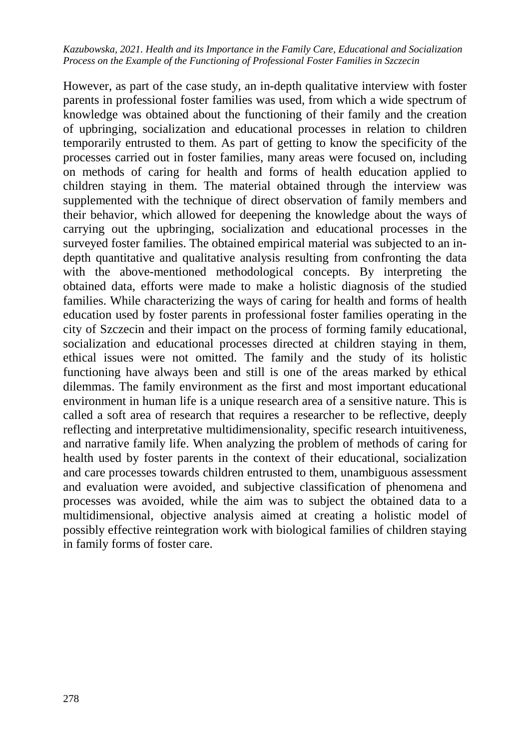However, as part of the case study, an in-depth qualitative interview with foster parents in professional foster families was used, from which a wide spectrum of knowledge was obtained about the functioning of their family and the creation of upbringing, socialization and educational processes in relation to children temporarily entrusted to them. As part of getting to know the specificity of the processes carried out in foster families, many areas were focused on, including on methods of caring for health and forms of health education applied to children staying in them. The material obtained through the interview was supplemented with the technique of direct observation of family members and their behavior, which allowed for deepening the knowledge about the ways of carrying out the upbringing, socialization and educational processes in the surveyed foster families. The obtained empirical material was subjected to an indepth quantitative and qualitative analysis resulting from confronting the data with the above-mentioned methodological concepts. By interpreting the obtained data, efforts were made to make a holistic diagnosis of the studied families. While characterizing the ways of caring for health and forms of health education used by foster parents in professional foster families operating in the city of Szczecin and their impact on the process of forming family educational, socialization and educational processes directed at children staying in them, ethical issues were not omitted. The family and the study of its holistic functioning have always been and still is one of the areas marked by ethical dilemmas. The family environment as the first and most important educational environment in human life is a unique research area of a sensitive nature. This is called a soft area of research that requires a researcher to be reflective, deeply reflecting and interpretative multidimensionality, specific research intuitiveness, and narrative family life. When analyzing the problem of methods of caring for health used by foster parents in the context of their educational, socialization and care processes towards children entrusted to them, unambiguous assessment and evaluation were avoided, and subjective classification of phenomena and processes was avoided, while the aim was to subject the obtained data to a multidimensional, objective analysis aimed at creating a holistic model of possibly effective reintegration work with biological families of children staying in family forms of foster care.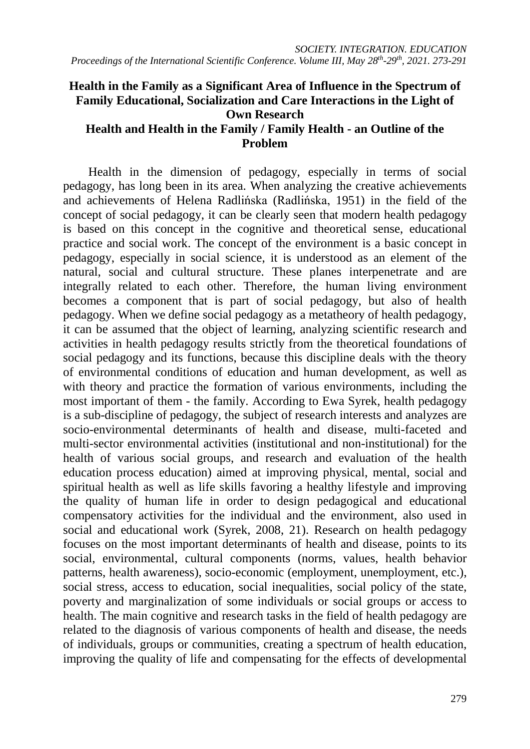# **Health in the Family as a Significant Area of Influence in the Spectrum of Family Educational, Socialization and Care Interactions in the Light of Own Research**

## **Health and Health in the Family / Family Health - an Outline of the Problem**

Health in the dimension of pedagogy, especially in terms of social pedagogy, has long been in its area. When analyzing the creative achievements and achievements of Helena Radlińska (Radlińska, 1951) in the field of the concept of social pedagogy, it can be clearly seen that modern health pedagogy is based on this concept in the cognitive and theoretical sense, educational practice and social work. The concept of the environment is a basic concept in pedagogy, especially in social science, it is understood as an element of the natural, social and cultural structure. These planes interpenetrate and are integrally related to each other. Therefore, the human living environment becomes a component that is part of social pedagogy, but also of health pedagogy. When we define social pedagogy as a metatheory of health pedagogy, it can be assumed that the object of learning, analyzing scientific research and activities in health pedagogy results strictly from the theoretical foundations of social pedagogy and its functions, because this discipline deals with the theory of environmental conditions of education and human development, as well as with theory and practice the formation of various environments, including the most important of them - the family. According to Ewa Syrek, health pedagogy is a sub-discipline of pedagogy, the subject of research interests and analyzes are socio-environmental determinants of health and disease, multi-faceted and multi-sector environmental activities (institutional and non-institutional) for the health of various social groups, and research and evaluation of the health education process education) aimed at improving physical, mental, social and spiritual health as well as life skills favoring a healthy lifestyle and improving the quality of human life in order to design pedagogical and educational compensatory activities for the individual and the environment, also used in social and educational work (Syrek, 2008, 21). Research on health pedagogy focuses on the most important determinants of health and disease, points to its social, environmental, cultural components (norms, values, health behavior patterns, health awareness), socio-economic (employment, unemployment, etc.), social stress, access to education, social inequalities, social policy of the state, poverty and marginalization of some individuals or social groups or access to health. The main cognitive and research tasks in the field of health pedagogy are related to the diagnosis of various components of health and disease, the needs of individuals, groups or communities, creating a spectrum of health education, improving the quality of life and compensating for the effects of developmental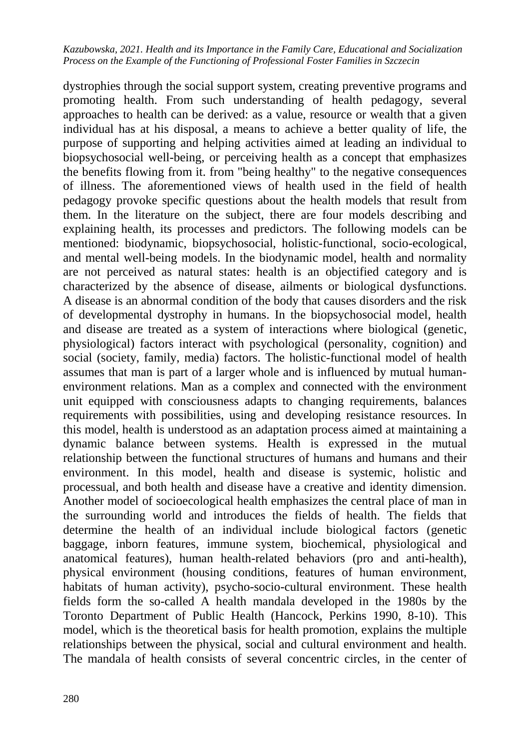dystrophies through the social support system, creating preventive programs and promoting health. From such understanding of health pedagogy, several approaches to health can be derived: as a value, resource or wealth that a given individual has at his disposal, a means to achieve a better quality of life, the purpose of supporting and helping activities aimed at leading an individual to biopsychosocial well-being, or perceiving health as a concept that emphasizes the benefits flowing from it. from "being healthy" to the negative consequences of illness. The aforementioned views of health used in the field of health pedagogy provoke specific questions about the health models that result from them. In the literature on the subject, there are four models describing and explaining health, its processes and predictors. The following models can be mentioned: biodynamic, biopsychosocial, holistic-functional, socio-ecological, and mental well-being models. In the biodynamic model, health and normality are not perceived as natural states: health is an objectified category and is characterized by the absence of disease, ailments or biological dysfunctions. A disease is an abnormal condition of the body that causes disorders and the risk of developmental dystrophy in humans. In the biopsychosocial model, health and disease are treated as a system of interactions where biological (genetic, physiological) factors interact with psychological (personality, cognition) and social (society, family, media) factors. The holistic-functional model of health assumes that man is part of a larger whole and is influenced by mutual humanenvironment relations. Man as a complex and connected with the environment unit equipped with consciousness adapts to changing requirements, balances requirements with possibilities, using and developing resistance resources. In this model, health is understood as an adaptation process aimed at maintaining a dynamic balance between systems. Health is expressed in the mutual relationship between the functional structures of humans and humans and their environment. In this model, health and disease is systemic, holistic and processual, and both health and disease have a creative and identity dimension. Another model of socioecological health emphasizes the central place of man in the surrounding world and introduces the fields of health. The fields that determine the health of an individual include biological factors (genetic baggage, inborn features, immune system, biochemical, physiological and anatomical features), human health-related behaviors (pro and anti-health), physical environment (housing conditions, features of human environment, habitats of human activity), psycho-socio-cultural environment. These health fields form the so-called A health mandala developed in the 1980s by the Toronto Department of Public Health (Hancock, Perkins 1990, 8-10). This model, which is the theoretical basis for health promotion, explains the multiple relationships between the physical, social and cultural environment and health. The mandala of health consists of several concentric circles, in the center of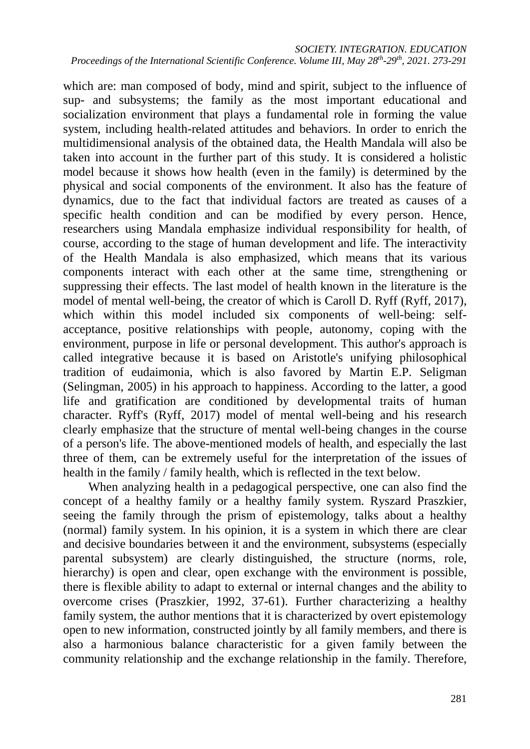which are: man composed of body, mind and spirit, subject to the influence of sup- and subsystems; the family as the most important educational and socialization environment that plays a fundamental role in forming the value system, including health-related attitudes and behaviors. In order to enrich the multidimensional analysis of the obtained data, the Health Mandala will also be taken into account in the further part of this study. It is considered a holistic model because it shows how health (even in the family) is determined by the physical and social components of the environment. It also has the feature of dynamics, due to the fact that individual factors are treated as causes of a specific health condition and can be modified by every person. Hence, researchers using Mandala emphasize individual responsibility for health, of course, according to the stage of human development and life. The interactivity of the Health Mandala is also emphasized, which means that its various components interact with each other at the same time, strengthening or suppressing their effects. The last model of health known in the literature is the model of mental well-being, the creator of which is Caroll D. Ryff (Ryff, 2017), which within this model included six components of well-being: selfacceptance, positive relationships with people, autonomy, coping with the environment, purpose in life or personal development. This author's approach is called integrative because it is based on Aristotle's unifying philosophical tradition of eudaimonia, which is also favored by Martin E.P. Seligman (Selingman, 2005) in his approach to happiness. According to the latter, a good life and gratification are conditioned by developmental traits of human character. Ryff's (Ryff, 2017) model of mental well-being and his research clearly emphasize that the structure of mental well-being changes in the course of a person's life. The above-mentioned models of health, and especially the last three of them, can be extremely useful for the interpretation of the issues of health in the family / family health, which is reflected in the text below.

When analyzing health in a pedagogical perspective, one can also find the concept of a healthy family or a healthy family system. Ryszard Praszkier, seeing the family through the prism of epistemology, talks about a healthy (normal) family system. In his opinion, it is a system in which there are clear and decisive boundaries between it and the environment, subsystems (especially parental subsystem) are clearly distinguished, the structure (norms, role, hierarchy) is open and clear, open exchange with the environment is possible, there is flexible ability to adapt to external or internal changes and the ability to overcome crises (Praszkier, 1992, 37-61). Further characterizing a healthy family system, the author mentions that it is characterized by overt epistemology open to new information, constructed jointly by all family members, and there is also a harmonious balance characteristic for a given family between the community relationship and the exchange relationship in the family. Therefore,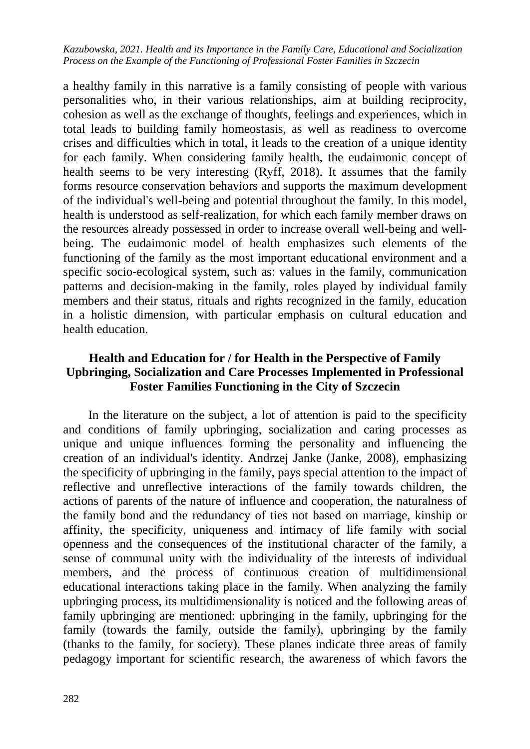a healthy family in this narrative is a family consisting of people with various personalities who, in their various relationships, aim at building reciprocity, cohesion as well as the exchange of thoughts, feelings and experiences, which in total leads to building family homeostasis, as well as readiness to overcome crises and difficulties which in total, it leads to the creation of a unique identity for each family. When considering family health, the eudaimonic concept of health seems to be very interesting (Ryff, 2018). It assumes that the family forms resource conservation behaviors and supports the maximum development of the individual's well-being and potential throughout the family. In this model, health is understood as self-realization, for which each family member draws on the resources already possessed in order to increase overall well-being and wellbeing. The eudaimonic model of health emphasizes such elements of the functioning of the family as the most important educational environment and a specific socio-ecological system, such as: values in the family, communication patterns and decision-making in the family, roles played by individual family members and their status, rituals and rights recognized in the family, education in a holistic dimension, with particular emphasis on cultural education and health education.

## **Health and Education for / for Health in the Perspective of Family Upbringing, Socialization and Care Processes Implemented in Professional Foster Families Functioning in the City of Szczecin**

In the literature on the subject, a lot of attention is paid to the specificity and conditions of family upbringing, socialization and caring processes as unique and unique influences forming the personality and influencing the creation of an individual's identity. Andrzej Janke (Janke, 2008), emphasizing the specificity of upbringing in the family, pays special attention to the impact of reflective and unreflective interactions of the family towards children, the actions of parents of the nature of influence and cooperation, the naturalness of the family bond and the redundancy of ties not based on marriage, kinship or affinity, the specificity, uniqueness and intimacy of life family with social openness and the consequences of the institutional character of the family, a sense of communal unity with the individuality of the interests of individual members, and the process of continuous creation of multidimensional educational interactions taking place in the family. When analyzing the family upbringing process, its multidimensionality is noticed and the following areas of family upbringing are mentioned: upbringing in the family, upbringing for the family (towards the family, outside the family), upbringing by the family (thanks to the family, for society). These planes indicate three areas of family pedagogy important for scientific research, the awareness of which favors the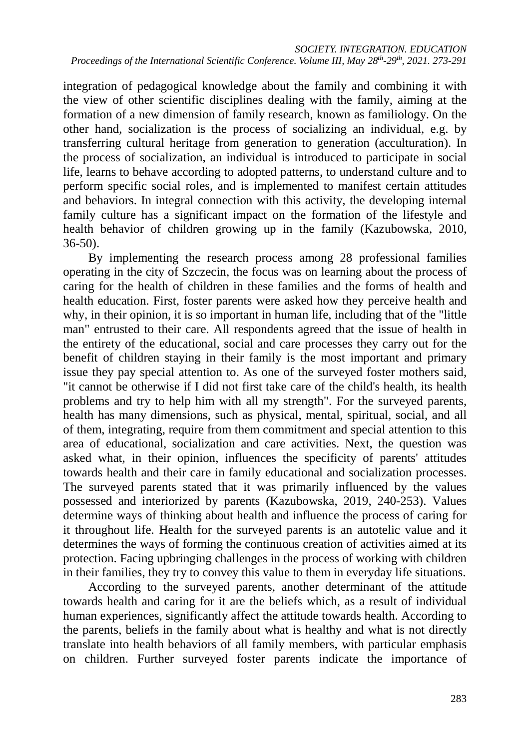integration of pedagogical knowledge about the family and combining it with the view of other scientific disciplines dealing with the family, aiming at the formation of a new dimension of family research, known as familiology. On the other hand, socialization is the process of socializing an individual, e.g. by transferring cultural heritage from generation to generation (acculturation). In the process of socialization, an individual is introduced to participate in social life, learns to behave according to adopted patterns, to understand culture and to perform specific social roles, and is implemented to manifest certain attitudes and behaviors. In integral connection with this activity, the developing internal family culture has a significant impact on the formation of the lifestyle and health behavior of children growing up in the family (Kazubowska, 2010, 36-50).

By implementing the research process among 28 professional families operating in the city of Szczecin, the focus was on learning about the process of caring for the health of children in these families and the forms of health and health education. First, foster parents were asked how they perceive health and why, in their opinion, it is so important in human life, including that of the "little man" entrusted to their care. All respondents agreed that the issue of health in the entirety of the educational, social and care processes they carry out for the benefit of children staying in their family is the most important and primary issue they pay special attention to. As one of the surveyed foster mothers said, "it cannot be otherwise if I did not first take care of the child's health, its health problems and try to help him with all my strength". For the surveyed parents, health has many dimensions, such as physical, mental, spiritual, social, and all of them, integrating, require from them commitment and special attention to this area of educational, socialization and care activities. Next, the question was asked what, in their opinion, influences the specificity of parents' attitudes towards health and their care in family educational and socialization processes. The surveyed parents stated that it was primarily influenced by the values possessed and interiorized by parents (Kazubowska, 2019, 240-253). Values determine ways of thinking about health and influence the process of caring for it throughout life. Health for the surveyed parents is an autotelic value and it determines the ways of forming the continuous creation of activities aimed at its protection. Facing upbringing challenges in the process of working with children in their families, they try to convey this value to them in everyday life situations.

According to the surveyed parents, another determinant of the attitude towards health and caring for it are the beliefs which, as a result of individual human experiences, significantly affect the attitude towards health. According to the parents, beliefs in the family about what is healthy and what is not directly translate into health behaviors of all family members, with particular emphasis on children. Further surveyed foster parents indicate the importance of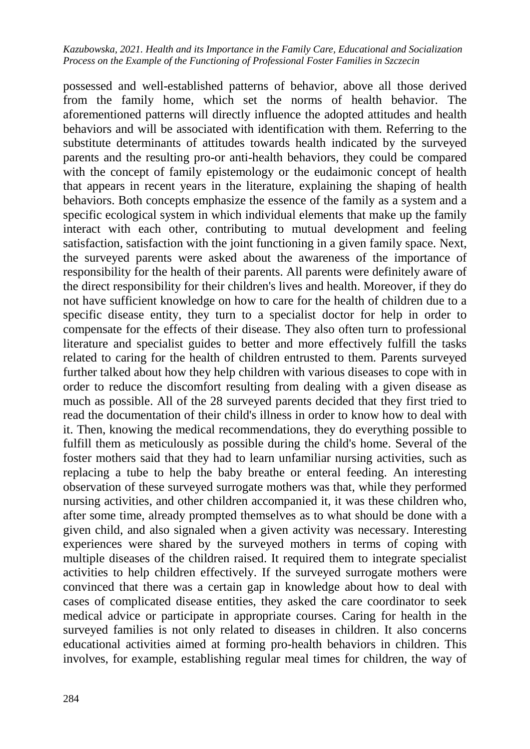possessed and well-established patterns of behavior, above all those derived from the family home, which set the norms of health behavior. The aforementioned patterns will directly influence the adopted attitudes and health behaviors and will be associated with identification with them. Referring to the substitute determinants of attitudes towards health indicated by the surveyed parents and the resulting pro-or anti-health behaviors, they could be compared with the concept of family epistemology or the eudaimonic concept of health that appears in recent years in the literature, explaining the shaping of health behaviors. Both concepts emphasize the essence of the family as a system and a specific ecological system in which individual elements that make up the family interact with each other, contributing to mutual development and feeling satisfaction, satisfaction with the joint functioning in a given family space. Next, the surveyed parents were asked about the awareness of the importance of responsibility for the health of their parents. All parents were definitely aware of the direct responsibility for their children's lives and health. Moreover, if they do not have sufficient knowledge on how to care for the health of children due to a specific disease entity, they turn to a specialist doctor for help in order to compensate for the effects of their disease. They also often turn to professional literature and specialist guides to better and more effectively fulfill the tasks related to caring for the health of children entrusted to them. Parents surveyed further talked about how they help children with various diseases to cope with in order to reduce the discomfort resulting from dealing with a given disease as much as possible. All of the 28 surveyed parents decided that they first tried to read the documentation of their child's illness in order to know how to deal with it. Then, knowing the medical recommendations, they do everything possible to fulfill them as meticulously as possible during the child's home. Several of the foster mothers said that they had to learn unfamiliar nursing activities, such as replacing a tube to help the baby breathe or enteral feeding. An interesting observation of these surveyed surrogate mothers was that, while they performed nursing activities, and other children accompanied it, it was these children who, after some time, already prompted themselves as to what should be done with a given child, and also signaled when a given activity was necessary. Interesting experiences were shared by the surveyed mothers in terms of coping with multiple diseases of the children raised. It required them to integrate specialist activities to help children effectively. If the surveyed surrogate mothers were convinced that there was a certain gap in knowledge about how to deal with cases of complicated disease entities, they asked the care coordinator to seek medical advice or participate in appropriate courses. Caring for health in the surveyed families is not only related to diseases in children. It also concerns educational activities aimed at forming pro-health behaviors in children. This involves, for example, establishing regular meal times for children, the way of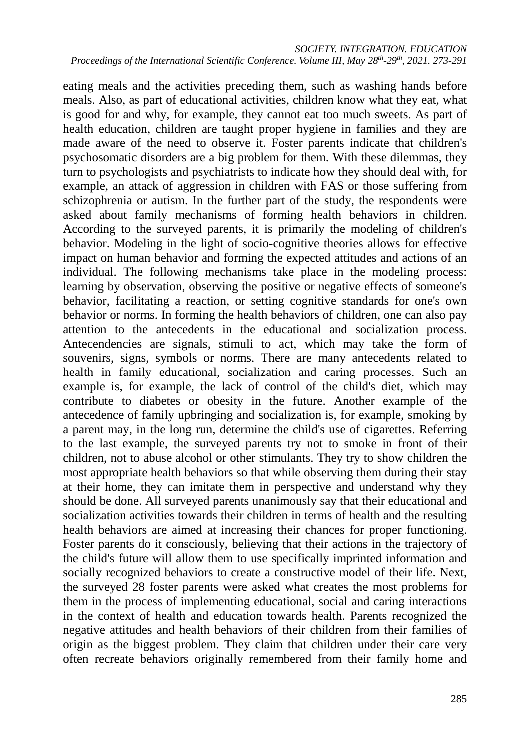eating meals and the activities preceding them, such as washing hands before meals. Also, as part of educational activities, children know what they eat, what is good for and why, for example, they cannot eat too much sweets. As part of health education, children are taught proper hygiene in families and they are made aware of the need to observe it. Foster parents indicate that children's psychosomatic disorders are a big problem for them. With these dilemmas, they turn to psychologists and psychiatrists to indicate how they should deal with, for example, an attack of aggression in children with FAS or those suffering from schizophrenia or autism. In the further part of the study, the respondents were asked about family mechanisms of forming health behaviors in children. According to the surveyed parents, it is primarily the modeling of children's behavior. Modeling in the light of socio-cognitive theories allows for effective impact on human behavior and forming the expected attitudes and actions of an individual. The following mechanisms take place in the modeling process: learning by observation, observing the positive or negative effects of someone's behavior, facilitating a reaction, or setting cognitive standards for one's own behavior or norms. In forming the health behaviors of children, one can also pay attention to the antecedents in the educational and socialization process. Antecendencies are signals, stimuli to act, which may take the form of souvenirs, signs, symbols or norms. There are many antecedents related to health in family educational, socialization and caring processes. Such an example is, for example, the lack of control of the child's diet, which may contribute to diabetes or obesity in the future. Another example of the antecedence of family upbringing and socialization is, for example, smoking by a parent may, in the long run, determine the child's use of cigarettes. Referring to the last example, the surveyed parents try not to smoke in front of their children, not to abuse alcohol or other stimulants. They try to show children the most appropriate health behaviors so that while observing them during their stay at their home, they can imitate them in perspective and understand why they should be done. All surveyed parents unanimously say that their educational and socialization activities towards their children in terms of health and the resulting health behaviors are aimed at increasing their chances for proper functioning. Foster parents do it consciously, believing that their actions in the trajectory of the child's future will allow them to use specifically imprinted information and socially recognized behaviors to create a constructive model of their life. Next, the surveyed 28 foster parents were asked what creates the most problems for them in the process of implementing educational, social and caring interactions in the context of health and education towards health. Parents recognized the negative attitudes and health behaviors of their children from their families of origin as the biggest problem. They claim that children under their care very often recreate behaviors originally remembered from their family home and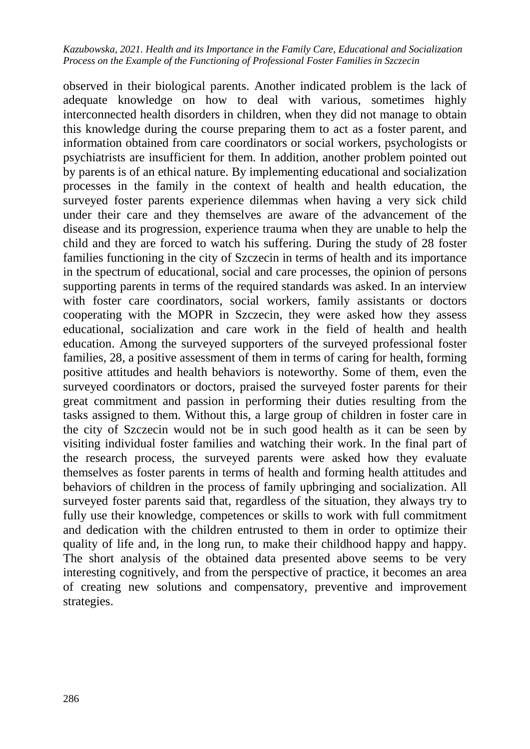observed in their biological parents. Another indicated problem is the lack of adequate knowledge on how to deal with various, sometimes highly interconnected health disorders in children, when they did not manage to obtain this knowledge during the course preparing them to act as a foster parent, and information obtained from care coordinators or social workers, psychologists or psychiatrists are insufficient for them. In addition, another problem pointed out by parents is of an ethical nature. By implementing educational and socialization processes in the family in the context of health and health education, the surveyed foster parents experience dilemmas when having a very sick child under their care and they themselves are aware of the advancement of the disease and its progression, experience trauma when they are unable to help the child and they are forced to watch his suffering. During the study of 28 foster families functioning in the city of Szczecin in terms of health and its importance in the spectrum of educational, social and care processes, the opinion of persons supporting parents in terms of the required standards was asked. In an interview with foster care coordinators, social workers, family assistants or doctors cooperating with the MOPR in Szczecin, they were asked how they assess educational, socialization and care work in the field of health and health education. Among the surveyed supporters of the surveyed professional foster families, 28, a positive assessment of them in terms of caring for health, forming positive attitudes and health behaviors is noteworthy. Some of them, even the surveyed coordinators or doctors, praised the surveyed foster parents for their great commitment and passion in performing their duties resulting from the tasks assigned to them. Without this, a large group of children in foster care in the city of Szczecin would not be in such good health as it can be seen by visiting individual foster families and watching their work. In the final part of the research process, the surveyed parents were asked how they evaluate themselves as foster parents in terms of health and forming health attitudes and behaviors of children in the process of family upbringing and socialization. All surveyed foster parents said that, regardless of the situation, they always try to fully use their knowledge, competences or skills to work with full commitment and dedication with the children entrusted to them in order to optimize their quality of life and, in the long run, to make their childhood happy and happy. The short analysis of the obtained data presented above seems to be very interesting cognitively, and from the perspective of practice, it becomes an area of creating new solutions and compensatory, preventive and improvement strategies.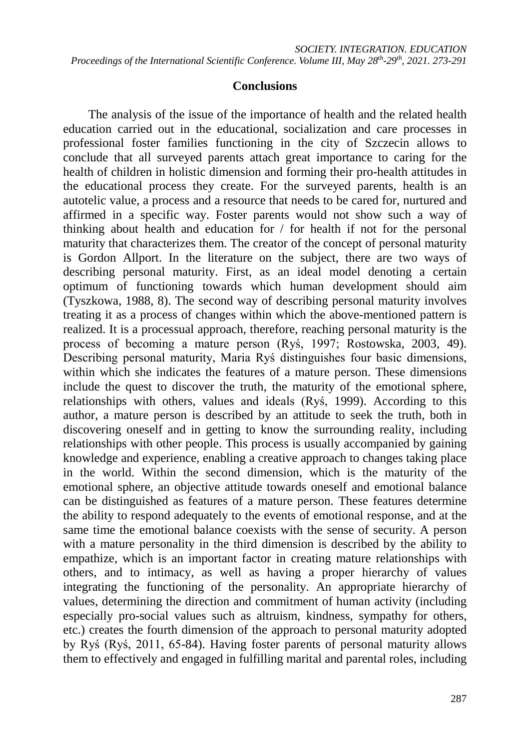### **Conclusions**

The analysis of the issue of the importance of health and the related health education carried out in the educational, socialization and care processes in professional foster families functioning in the city of Szczecin allows to conclude that all surveyed parents attach great importance to caring for the health of children in holistic dimension and forming their pro-health attitudes in the educational process they create. For the surveyed parents, health is an autotelic value, a process and a resource that needs to be cared for, nurtured and affirmed in a specific way. Foster parents would not show such a way of thinking about health and education for / for health if not for the personal maturity that characterizes them. The creator of the concept of personal maturity is Gordon Allport. In the literature on the subject, there are two ways of describing personal maturity. First, as an ideal model denoting a certain optimum of functioning towards which human development should aim (Tyszkowa, 1988, 8). The second way of describing personal maturity involves treating it as a process of changes within which the above-mentioned pattern is realized. It is a processual approach, therefore, reaching personal maturity is the process of becoming a mature person (Ryś, 1997; Rostowska, 2003, 49). Describing personal maturity, Maria Ryś distinguishes four basic dimensions, within which she indicates the features of a mature person. These dimensions include the quest to discover the truth, the maturity of the emotional sphere, relationships with others, values and ideals (Ryś, 1999). According to this author, a mature person is described by an attitude to seek the truth, both in discovering oneself and in getting to know the surrounding reality, including relationships with other people. This process is usually accompanied by gaining knowledge and experience, enabling a creative approach to changes taking place in the world. Within the second dimension, which is the maturity of the emotional sphere, an objective attitude towards oneself and emotional balance can be distinguished as features of a mature person. These features determine the ability to respond adequately to the events of emotional response, and at the same time the emotional balance coexists with the sense of security. A person with a mature personality in the third dimension is described by the ability to empathize, which is an important factor in creating mature relationships with others, and to intimacy, as well as having a proper hierarchy of values integrating the functioning of the personality. An appropriate hierarchy of values, determining the direction and commitment of human activity (including especially pro-social values such as altruism, kindness, sympathy for others, etc.) creates the fourth dimension of the approach to personal maturity adopted by Ryś (Ryś, 2011, 65-84). Having foster parents of personal maturity allows them to effectively and engaged in fulfilling marital and parental roles, including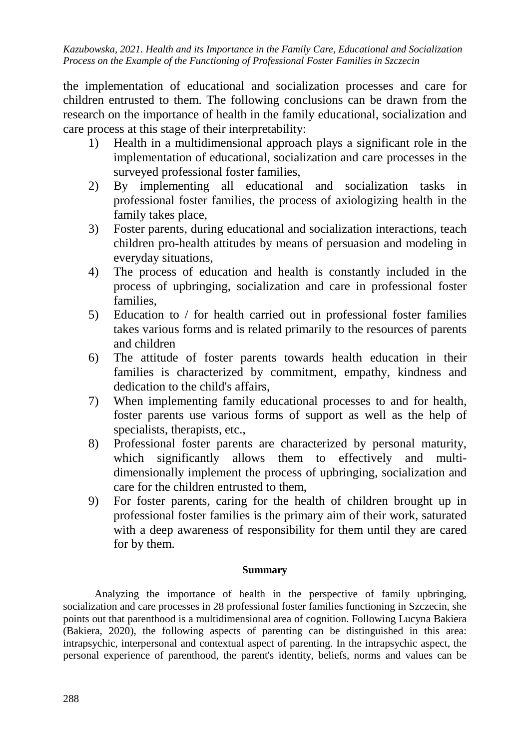the implementation of educational and socialization processes and care for children entrusted to them. The following conclusions can be drawn from the research on the importance of health in the family educational, socialization and care process at this stage of their interpretability:

- 1) Health in a multidimensional approach plays a significant role in the implementation of educational, socialization and care processes in the surveyed professional foster families,
- 2) By implementing all educational and socialization tasks in professional foster families, the process of axiologizing health in the family takes place,
- 3) Foster parents, during educational and socialization interactions, teach children pro-health attitudes by means of persuasion and modeling in everyday situations,
- 4) The process of education and health is constantly included in the process of upbringing, socialization and care in professional foster families,
- 5) Education to / for health carried out in professional foster families takes various forms and is related primarily to the resources of parents and children
- 6) The attitude of foster parents towards health education in their families is characterized by commitment, empathy, kindness and dedication to the child's affairs,
- 7) When implementing family educational processes to and for health, foster parents use various forms of support as well as the help of specialists, therapists, etc.,
- 8) Professional foster parents are characterized by personal maturity, which significantly allows them to effectively and multidimensionally implement the process of upbringing, socialization and care for the children entrusted to them,
- 9) For foster parents, caring for the health of children brought up in professional foster families is the primary aim of their work, saturated with a deep awareness of responsibility for them until they are cared for by them.

### **Summary**

Analyzing the importance of health in the perspective of family upbringing, socialization and care processes in 28 professional foster families functioning in Szczecin, she points out that parenthood is a multidimensional area of cognition. Following Lucyna Bakiera (Bakiera, 2020), the following aspects of parenting can be distinguished in this area: intrapsychic, interpersonal and contextual aspect of parenting. In the intrapsychic aspect, the personal experience of parenthood, the parent's identity, beliefs, norms and values can be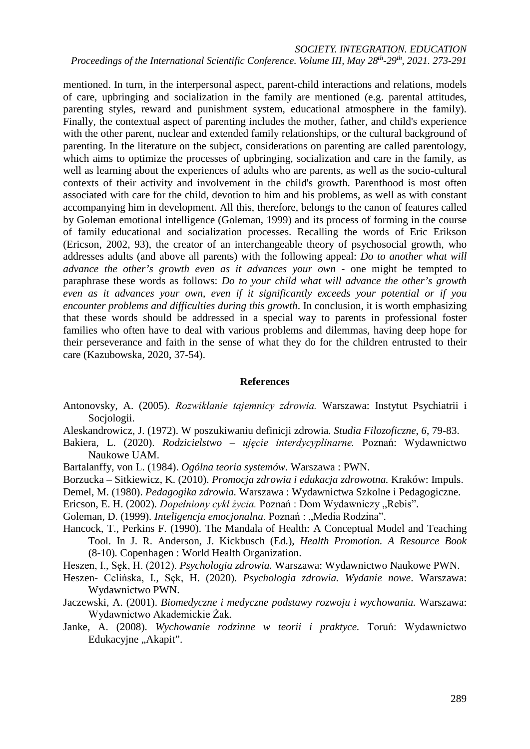#### *SOCIETY. INTEGRATION. EDUCATION Proceedings of the International Scientific Conference. Volume III, May 28th-29th, 2021. 273-291*

mentioned. In turn, in the interpersonal aspect, parent-child interactions and relations, models of care, upbringing and socialization in the family are mentioned (e.g. parental attitudes, parenting styles, reward and punishment system, educational atmosphere in the family). Finally, the contextual aspect of parenting includes the mother, father, and child's experience with the other parent, nuclear and extended family relationships, or the cultural background of parenting. In the literature on the subject, considerations on parenting are called parentology, which aims to optimize the processes of upbringing, socialization and care in the family, as well as learning about the experiences of adults who are parents, as well as the socio-cultural contexts of their activity and involvement in the child's growth. Parenthood is most often associated with care for the child, devotion to him and his problems, as well as with constant accompanying him in development. All this, therefore, belongs to the canon of features called by Goleman emotional intelligence (Goleman, 1999) and its process of forming in the course of family educational and socialization processes. Recalling the words of Eric Erikson (Ericson, 2002, 93), the creator of an interchangeable theory of psychosocial growth, who addresses adults (and above all parents) with the following appeal: *Do to another what will advance the other's growth even as it advances your own* - one might be tempted to paraphrase these words as follows: *Do to your child what will advance the other's growth even as it advances your own, even if it significantly exceeds your potential or if you encounter problems and difficulties during this growth*. In conclusion, it is worth emphasizing that these words should be addressed in a special way to parents in professional foster families who often have to deal with various problems and dilemmas, having deep hope for their perseverance and faith in the sense of what they do for the children entrusted to their care (Kazubowska, 2020, 37-54).

#### **References**

- Antonovsky, A. (2005). *Rozwikłanie tajemnicy zdrowia.* Warszawa: Instytut Psychiatrii i Socjologii.
- Aleskandrowicz, J. (1972). W poszukiwaniu definicji zdrowia*. Studia Filozoficzne*, *6*, 79-83.
- Bakiera, L. (2020). *Rodzicielstwo – ujęcie interdycyplinarne.* Poznań: Wydawnictwo Naukowe UAM.
- Bartalanffy, von L. (1984). *Ogólna teoria systemów.* Warszawa : PWN.
- Borzucka Sitkiewicz, K. (2010). *Promocja zdrowia i edukacja zdrowotna.* Kraków: Impuls.
- Demel, M. (1980). *Pedagogika zdrowia.* Warszawa : Wydawnictwa Szkolne i Pedagogiczne.
- Ericson, E. H. (2002). *Dopełniony cykl życia*. Poznań : Dom Wydawniczy "Rebis".
- Goleman, D. (1999). *Inteligencja emocjonalna*. Poznań : "Media Rodzina".
- Hancock, T., Perkins F. (1990). The Mandala of Health: A Conceptual Model and Teaching Tool. In J. R. Anderson, J. Kickbusch (Ed.), *Health Promotion. A Resource Book* (8-10)*.* Copenhagen : World Health Organization.
- Heszen, I., Sęk, H. (2012). *Psychologia zdrowia.* Warszawa: Wydawnictwo Naukowe PWN.
- Heszen- Celińska, I., Sęk, H. (2020). *Psychologia zdrowia. Wydanie nowe*. Warszawa: Wydawnictwo PWN.
- Jaczewski, A. (2001). *Biomedyczne i medyczne podstawy rozwoju i wychowania.* Warszawa: Wydawnictwo Akademickie Żak.
- Janke, A. (2008). *Wychowanie rodzinne w teorii i praktyce.* Toruń: Wydawnictwo Edukacyjne "Akapit".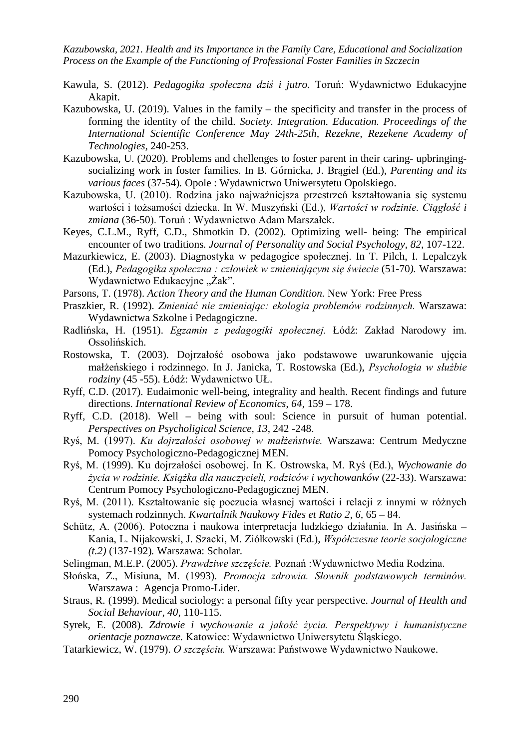- Kawula, S. (2012). *Pedagogika społeczna dziś i jutro.* Toruń: Wydawnictwo Edukacyjne Akapit.
- Kazubowska, U. (2019). Values in the family the specificity and transfer in the process of forming the identity of the child. *Society. Integration. Education. Proceedings of the International Scientific Conference May 24th-25th, Rezekne, Rezekene Academy of Technologies,* 240-253.
- Kazubowska, U. (2020). Problems and chellenges to foster parent in their caring- upbringingsocializing work in foster families. In B. Górnicka, J. Brągiel (Ed.), *Parenting and its various faces* (37-54)*.* Opole : Wydawnictwo Uniwersytetu Opolskiego.
- Kazubowska, U. (2010). Rodzina jako najważniejsza przestrzeń kształtowania się systemu wartości i tożsamości dziecka. In W. Muszyński (Ed.), *Wartości w rodzinie. Ciągłość i zmiana* (36-50). Toruń : Wydawnictwo Adam Marszałek.
- Keyes, C.L.M., Ryff, C.D., Shmotkin D. (2002). Optimizing well- being: The empirical encounter of two traditions*. Journal of Personality and Social Psychology, 82*, 107-122.
- Mazurkiewicz, E. (2003). Diagnostyka w pedagogice społecznej. In T. Pilch, I. Lepalczyk (Ed.), *Pedagogika społeczna : człowiek w zmieniającym się świecie* (51-70*).* Warszawa: Wydawnictwo Edukacyjne "Żak".
- Parsons, T. (1978). *Action Theory and the Human Condition.* New York: Free Press
- Praszkier, R. (1992). *Zmieniać nie zmieniając: ekologia problemów rodzinnych.* Warszawa: Wydawnictwa Szkolne i Pedagogiczne.
- Radlińska, H. (1951). *Egzamin z pedagogiki społecznej.* Łódź: Zakład Narodowy im. Ossolińskich.
- Rostowska, T. (2003). Dojrzałość osobowa jako podstawowe uwarunkowanie ujęcia małżeńskiego i rodzinnego. In J. Janicka, T. Rostowska (Ed.), *Psychologia w służbie rodziny* (45 -55). Łódź: Wydawnictwo UŁ.
- Ryff, C.D. (2017). Eudaimonic well-being, integrality and health. Recent findings and future directions*. International Review of Economics*, *64*, 159 – 178.
- Ryff, C.D. (2018). Well being with soul: Science in pursuit of human potential. *Perspectives on Psycholigical Science, 13*, 242 -248.
- Ryś, M. (1997). *Ku dojrzałości osobowej w małżeństwie.* Warszawa: Centrum Medyczne Pomocy Psychologiczno-Pedagogicznej MEN.
- Ryś, M. (1999). Ku dojrzałości osobowej. In K. Ostrowska, M. Ryś (Ed.), *Wychowanie do życia w rodzinie. Książka dla nauczycieli, rodziców i wychowanków* (22-33). Warszawa: Centrum Pomocy Psychologiczno-Pedagogicznej MEN.
- Ryś, M. (2011). Kształtowanie się poczucia własnej wartości i relacji z innymi w różnych systemach rodzinnych. *Kwartalnik Naukowy Fides et Ratio 2, 6,* 65 – 84.
- Schütz, A. (2006). Potoczna i naukowa interpretacja ludzkiego działania. In A. Jasińska Kania, L. Nijakowski, J. Szacki, M. Ziółkowski (Ed.), *Współczesne teorie socjologiczne (t.2)* (137-192)*.* Warszawa: Scholar.
- Selingman, M.E.P. (2005). *Prawdziwe szczęście.* Poznań :Wydawnictwo Media Rodzina.
- Słońska, Z., Misiuna, M. (1993). *Promocja zdrowia. Słownik podstawowych terminów.*  Warszawa : Agencja Promo-Lider.
- Straus, R. (1999). Medical sociology: a personal fifty year perspective. *Journal of Health and Social Behaviour, 40,* 110-115.
- Syrek, E. (2008). *Zdrowie i wychowanie a jakość życia. Perspektywy i humanistyczne orientacje poznawcze.* Katowice: Wydawnictwo Uniwersytetu Śląskiego.
- Tatarkiewicz, W. (1979). *O szczęściu.* Warszawa: Państwowe Wydawnictwo Naukowe.